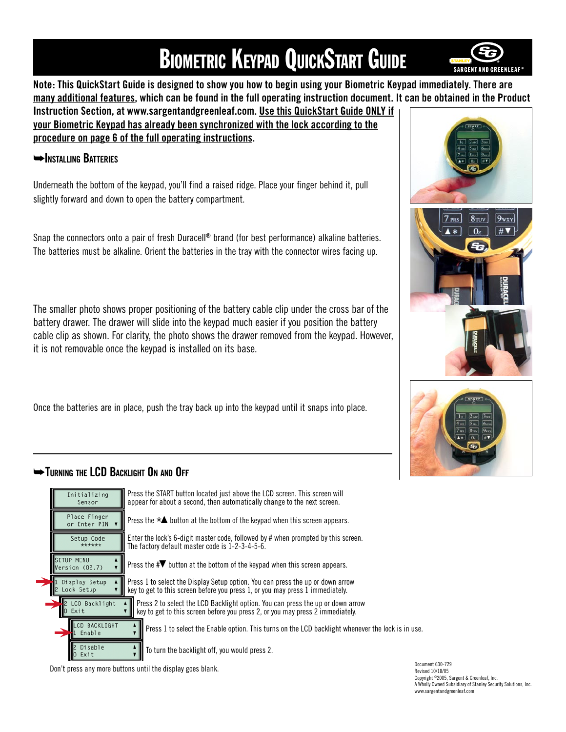# **BIOMETRIC KEYPAD QUICKSTART GUIDE**

**SARGENT AND GREENLEAF®** 

**Note: This QuickStart Guide is designed to show you how to begin using your Biometric Keypad immediately. There are many additional features, which can be found in the full operating instruction document. It can be obtained in the Product Instruction Section, at www.sargentandgreenleaf.com. Use this QuickStart Guide ONLY if your Biometric Keypad has already been synchronized with the lock according to the procedure on page 6 of the full operating instructions.**

## ➥**Installing Batteries**

Underneath the bottom of the keypad, you'll find a raised ridge. Place your finger behind it, pull slightly forward and down to open the battery compartment.

Snap the connectors onto a pair of fresh Duracell<sup>®</sup> brand (for best performance) alkaline batteries. The batteries must be alkaline. Orient the batteries in the tray with the connector wires facing up.

The smaller photo shows proper positioning of the battery cable clip under the cross bar of the battery drawer. The drawer will slide into the keypad much easier if you position the battery cable clip as shown. For clarity, the photo shows the drawer removed from the keypad. However, it is not removable once the keypad is installed on its base.

Once the batteries are in place, push the tray back up into the keypad until it snaps into place.







# ➥**Turning the LCD Backlight On and Off**



Don't press any more buttons until the display goes blank.

Revised 10/18/05 Copyright ©2005, Sargent & Greenleaf, Inc. A Wholly Owned Subsidiary of Stanley Security Solutions, Inc. www.sargentandgreenleaf.com